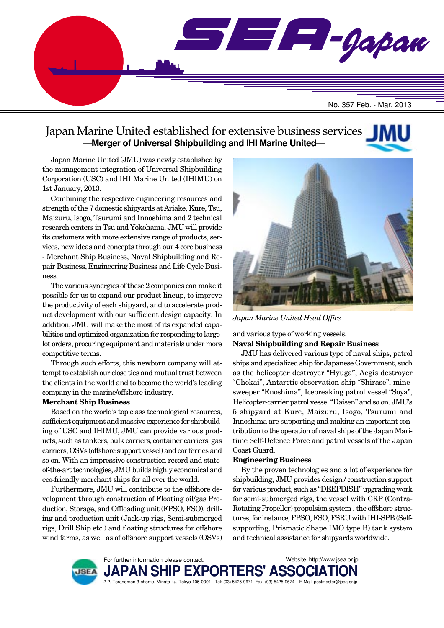

### Japan Marine United established for extensive business services **—Merger of Universal Shipbuilding and IHI Marine United—**

Japan Marine United (JMU) was newly established by the management integration of Universal Shipbuilding Corporation (USC) and IHI Marine United (IHIMU) on 1st January, 2013.

Combining the respective engineering resources and strength of the 7 domestic shipyards at Ariake, Kure, Tsu, Maizuru, Isogo, Tsurumi and Innoshima and 2 technical research centers in Tsu and Yokohama, JMU will provide its customers with more extensive range of products, services, new ideas and concepts through our 4 core business - Merchant Ship Business, Naval Shipbuilding and Repair Business, Engineering Business and Life Cycle Business.

The various synergies of these 2 companies can make it possible for us to expand our product lineup, to improve the productivity of each shipyard, and to accelerate product development with our sufficient design capacity. In addition, JMU will make the most of its expanded capabilities and optimized organization for responding to largelot orders, procuring equipment and materials under more competitive terms.

Through such efforts, this newborn company will attempt to establish our close ties and mutual trust between the clients in the world and to become the world's leading company in the marine/offshore industry.

#### **Merchant Ship Business**

Based on the world's top class technological resources, sufficient equipment and massive experience for shipbuilding of USC and IHIMU, JMU can provide various products, such as tankers, bulk carriers, container carriers, gas carriers, OSVs (offshore support vessel) and car ferries and so on. With an impressive construction record and stateof-the-art technologies, JMU builds highly economical and eco-friendly merchant ships for all over the world.

Furthermore, JMU will contribute to the offshore development through construction of Floating oil/gas Production, Storage, and Offloading unit (FPSO, FSO), drilling and production unit (Jack-up rigs, Semi-submerged rigs, Drill Ship etc.) and floating structures for offshore wind farms, as well as of offshore support vessels (OSVs)



*Japan Marine United Head Office*

#### and various type of working vessels. **Naval Shipbuilding and Repair Business**

JMU has delivered various type of naval ships, patrol ships and specialized ship for Japanese Government, such as the helicopter destroyer "Hyuga", Aegis destroyer "Chokai", Antarctic observation ship "Shirase", minesweeper "Enoshima", Icebreaking patrol vessel "Soya", Helicopter-carrier patrol vessel "Daisen" and so on. JMU's 5 shipyard at Kure, Maizuru, Isogo, Tsurumi and Innoshima are supporting and making an important contribution to the operation of naval ships of the Japan Maritime Self-Defence Force and patrol vessels of the Japan Coast Guard.

#### **Engineering Business**

By the proven technologies and a lot of experience for shipbuilding, JMU provides design / construction support for various product, such as "DEEPDISH" upgrading work for semi-submerged rigs, the vessel with CRP (Contra-Rotating Propeller) propulsion system , the offshore structures, for instance, FPSO, FSO, FSRU with IHI-SPB (Selfsupporting, Prismatic Shape IMO type B) tank system and technical assistance for shipyards worldwide.



For further information please contact: **PAN SH** 2-2, Toranomon 3-chome, Minato-ku, Tokyo 105-0001 Tel: (03) 5425-9671 Fax: (03) 5425-9674 E-Mail: postmaster@jsea.or.jp Website: http://www.jsea.or.jp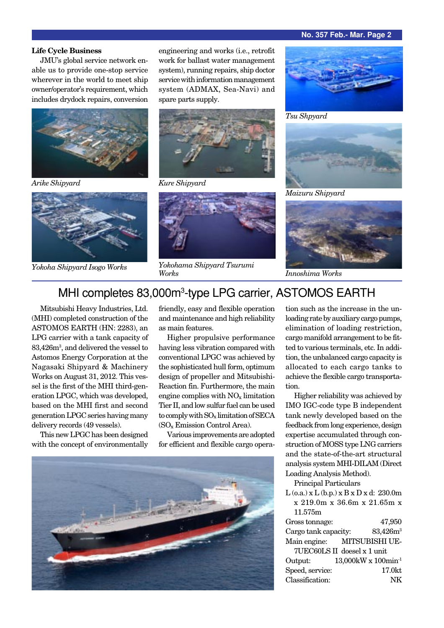#### **No. 357 Feb.- Mar. Page 2**

#### **Life Cycle Business**

JMU's global service network enable us to provide one-stop service wherever in the world to meet ship owner/operator's requirement, which includes drydock repairs, conversion





engineering and works (i.e., retrofit work for ballast water management system), running repairs, ship doctor service with information management system (ADMAX, Sea-Navi) and spare parts supply.



*Arike Shipyard Kure Shipyard*



*Yokoha Shipyard Isogo Works Yokohama Shipyard Tsurumi*



*Tsu Shpyard*



*Maizuru Shipyard*



*Works Innoshima Works*

## MHI completes 83,000m<sup>3</sup>-type LPG carrier, ASTOMOS EARTH

Mitsubishi Heavy Industries, Ltd. (MHI) completed construction of the ASTOMOS EARTH (HN: 2283), an LPG carrier with a tank capacity of 83,426m3 , and delivered the vessel to Astomos Energy Corporation at the Nagasaki Shipyard & Machinery Works on August 31, 2012. This vessel is the first of the MHI third-generation LPGC, which was developed, based on the MHI first and second generation LPGC series having many delivery records (49 vessels).

This new LPGC has been designed with the concept of environmentally friendly, easy and flexible operation and maintenance and high reliability as main features.

Higher propulsive performance having less vibration compared with conventional LPGC was achieved by the sophisticated hull form, optimum design of propeller and Mitsubishi-Reaction fin. Furthermore, the main engine complies with  $NO<sub>x</sub>$  limitation Tier II, and low sulfur fuel can be used to comply with  $SO_x$  limitation of SECA (SOx Emission Control Area).

Various improvements are adopted for efficient and flexible cargo opera-



tion such as the increase in the unloading rate by auxiliary cargo pumps, elimination of loading restriction, cargo manifold arrangement to be fitted to various terminals, etc. In addition, the unbalanced cargo capacity is allocated to each cargo tanks to achieve the flexible cargo transportation.

Higher reliability was achieved by IMO IGC-code type B independent tank newly developed based on the feedback from long experience, design expertise accumulated through construction of MOSS type LNG carriers and the state-of-the-art structural analysis system MHI-DILAM (Direct Loading Analysis Method).

Principal Particulars

L (o.a.) x L (b.p.) x B x D x d: 230.0m x 219.0m x 36.6m x 21.65m x 11.575m Gross tonnage: 47,950

| Cargo tank capacity: | 83,426m <sup>3</sup>                   |
|----------------------|----------------------------------------|
|                      | Main engine: MITSUBISHI UE-            |
|                      | $7\textrm{UEC60LS}$ II doesel x 1 unit |
| Output:              | 13,000kW x 100min <sup>-1</sup>        |
| Speed, service:      | 17.0kt                                 |
| Classification:      | NK                                     |
|                      |                                        |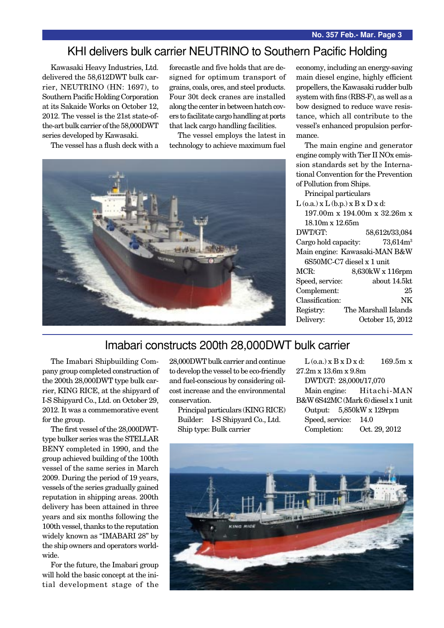### KHI delivers bulk carrier NEUTRINO to Southern Pacific Holding

Kawasaki Heavy Industries, Ltd. delivered the 58,612DWT bulk carrier, NEUTRINO (HN: 1697), to Southern Pacific Holding Corporation at its Sakaide Works on October 12, 2012. The vessel is the 21st state-ofthe-art bulk carrier of the 58,000DWT series developed by Kawasaki.

The vessel has a flush deck with a

forecastle and five holds that are designed for optimum transport of grains, coals, ores, and steel products. Four 30t deck cranes are installed along the center in between hatch covers to facilitate cargo handling at ports that lack cargo handling facilities.

The vessel employs the latest in technology to achieve maximum fuel



economy, including an energy-saving main diesel engine, highly efficient propellers, the Kawasaki rudder bulb system with fins (RBS-F), as well as a bow designed to reduce wave resistance, which all contribute to the vessel's enhanced propulsion performance.

The main engine and generator engine comply with Tier II NOx emission standards set by the International Convention for the Prevention of Pollution from Ships.

Principal particulars

 $L$  (o.a.)  $x L$  (b.p.)  $x B x D x d$ : 197.00m x 194.00m x 32.26m x 18.10m x 12.65m DWT/GT: 58,612t/33,084 Cargo hold capacity:  $73,614m<sup>3</sup>$ Main engine: Kawasaki-MAN B&W 6S50MC-C7 diesel x 1 unit MCR: 8,630kW x 116rpm Speed, service: about 14.5kt Complement: 25 Classification: NK Registry: The Marshall Islands Delivery: October 15, 2012

### Imabari constructs 200th 28,000DWT bulk carrier

The Imabari Shipbuilding Company group completed construction of the 200th 28,000DWT type bulk carrier, KING RICE, at the shipyard of I-S Shipyard Co., Ltd. on October 29, 2012. It was a commemorative event for the group.

The first vessel of the 28,000DWTtype bulker series was the STELLAR BENY completed in 1990, and the group achieved building of the 100th vessel of the same series in March 2009. During the period of 19 years, vessels of the series gradually gained reputation in shipping areas. 200th delivery has been attained in three years and six months following the 100th vessel, thanks to the reputation widely known as "IMABARI 28" by the ship owners and operators worldwide.

For the future, the Imabari group will hold the basic concept at the initial development stage of the 28,000DWT bulk carrier and continue to develop the vessel to be eco-friendly and fuel-conscious by considering oilcost increase and the environmental conservation.

Principal particulars (KING RICE) Builder: I-S Shipyard Co., Ltd. Ship type: Bulk carrier

 $L$  (o.a.) x  $B$  x  $D$  x d: 169.5m x 27.2m x 13.6m x 9.8m DWT/GT: 28,000t/17,070 Main engine: Hitachi-MAN B&W 6S42MC (Mark 6) diesel x 1 unit Output: 5,850kW x 129rpm Speed, service: 14.0 Completion: Oct. 29, 2012

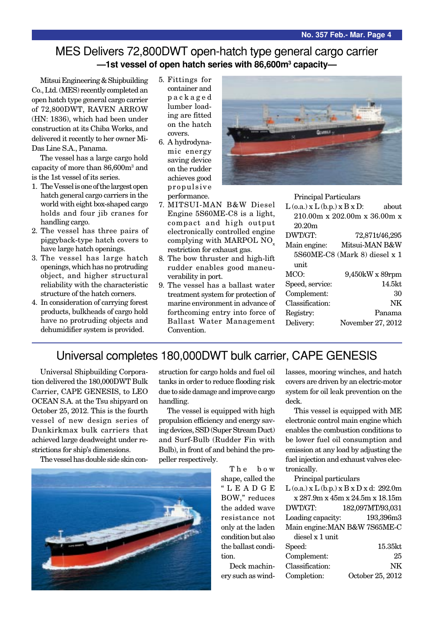### MES Delivers 72,800DWT open-hatch type general cargo carrier **—1st vessel of open hatch series with 86,600m3 capacity—**

Mitsui Engineering & Shipbuilding Co., Ltd. (MES) recently completed an open hatch type general cargo carrier of 72,800DWT, RAVEN ARROW (HN: 1836), which had been under construction at its Chiba Works, and delivered it recently to her owner Mi-Das Line S.A., Panama.

The vessel has a large cargo hold capacity of more than 86,600m<sup>3</sup> and is the 1st vessel of its series.

- 1. The Vessel is one of the largest open hatch general cargo carriers in the world with eight box-shaped cargo holds and four jib cranes for handling cargo.
- 2. The vessel has three pairs of piggyback-type hatch covers to have large hatch openings.
- 3. The vessel has large hatch openings, which has no protruding object, and higher structural reliability with the characteristic structure of the hatch corners.
- 4. In consideration of carrying forest products, bulkheads of cargo hold have no protruding objects and dehumidifier system is provided.
- 5. Fittings for container and packaged lumber loading are fitted on the hatch covers.
- 6. A hydrodynamic energy saving device on the rudder achieves good propulsive performance.
- 7. MITSUI-MAN B&W Diesel Engine 5S60ME-C8 is a light, compact and high output electronically controlled engine complying with MARPOL NO<sub>x</sub> restriction for exhaust gas.
- 8. The bow thruster and high-lift rudder enables good maneuverability in port.
- 9. The vessel has a ballast water treatment system for protection of marine environment in advance of forthcoming entry into force of Ballast Water Management Convention.



 $L$  (o.a.)  $x L$  (b.p.)  $x B x D$ : about 210.00m x 202.00m x 36.00m x 20.20m

Principal Particulars

| DWT/GT:         | 72,871t/46,295                |
|-----------------|-------------------------------|
| Main engine:    | Mitsui-MAN B&W                |
|                 | 5S60ME-C8 (Mark 8) diesel x 1 |
| unit            |                               |
| MCO:            | 9,450kW x 89rpm               |
| Speed, service: | $14.5$ kt                     |
| Complement:     | 30                            |
| Classification: | NK                            |
| Registry:       | Panama                        |
| Delivery:       | November 27, 2012             |
|                 |                               |

## Universal completes 180,000DWT bulk carrier, CAPE GENESIS

Universal Shipbuilding Corporation delivered the 180,000DWT Bulk Carrier, CAPE GENESIS, to LEO OCEAN S.A. at the Tsu shipyard on October 25, 2012. This is the fourth vessel of new design series of Dunkirkmax bulk carriers that achieved large deadweight under restrictions for ship's dimensions.

The vessel has double side skin con-



struction for cargo holds and fuel oil tanks in order to reduce flooding risk due to side damage and improve cargo handling.

The vessel is equipped with high propulsion efficiency and energy saving devices, SSD (Super Stream Duct) and Surf-Bulb (Rudder Fin with Bulb), in front of and behind the propeller respectively.

> The bow shape, called the "LEADGE BOW," reduces the added wave resistance not only at the laden condition but also the ballast condition.

Deck machinery such as windlasses, mooring winches, and hatch covers are driven by an electric-motor system for oil leak prevention on the deck.

This vessel is equipped with ME electronic control main engine which enables the combustion conditions to be lower fuel oil consumption and emission at any load by adjusting the fuel injection and exhaust valves electronically.

Principal particulars

|                   | $L$ (o.a.) x $L$ (b.p.) x $B$ x $D$ x d: 292.0m |
|-------------------|-------------------------------------------------|
|                   | x 287.9m x 45m x 24.5m x 18.15m                 |
| DWT/GT:           | 182,097MT/93,031                                |
| Loading capacity: | 193,396m3                                       |
|                   | Main engine: MAN B&W 7S65ME-C                   |
| diesel x 1 unit   |                                                 |

| 15.35kt          |
|------------------|
| 25               |
| NK               |
| October 25, 2012 |
|                  |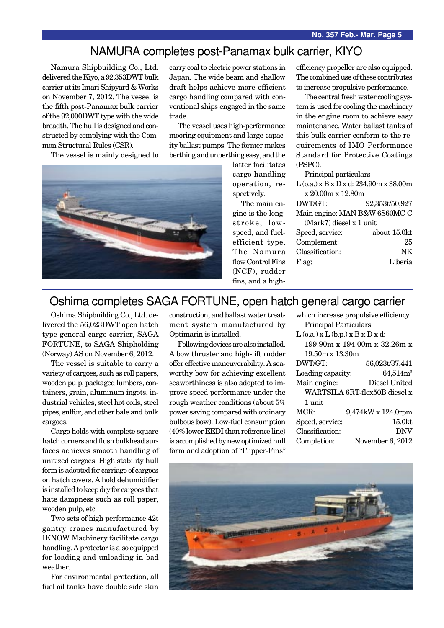#### NAMURA completes post-Panamax bulk carrier, KIYO

Namura Shipbuilding Co., Ltd. delivered the Kiyo, a 92,353DWT bulk carrier at its Imari Shipyard & Works on November 7, 2012. The vessel is the fifth post-Panamax bulk carrier of the 92,000DWT type with the wide breadth. The hull is designed and constructed by complying with the Common Structural Rules (CSR).

The vessel is mainly designed to

carry coal to electric power stations in Japan. The wide beam and shallow draft helps achieve more efficient cargo handling compared with conventional ships engaged in the same trade.

The vessel uses high-performance mooring equipment and large-capacity ballast pumps. The former makes berthing and unberthing easy, and the



latter facilitates cargo-handling operation, respectively.

The main engine is the longstroke, lowspeed, and fuelefficient type. The Namura flow Control Fins (NCF), rudder fins, and a highefficiency propeller are also equipped. The combined use of these contributes to increase propulsive performance.

The central fresh water cooling system is used for cooling the machinery in the engine room to achieve easy maintenance. Water ballast tanks of this bulk carrier conform to the requirements of IMO Performance Standard for Protective Coatings (PSPC).

Principal particulars

| $L$ (o.a.) x B x D x d: 234.90m x 38.00m |                |  |
|------------------------------------------|----------------|--|
| x 20.00m x 12.80m                        |                |  |
| DWT/GT:                                  | 92,353t/50,927 |  |
| Main engine: MAN B&W 6S60MC-C            |                |  |
| (Mark7) diesel x 1 unit                  |                |  |
| Speed, service:                          | about 15.0kt   |  |
| Complement:                              | 25             |  |
| Classification:                          | NK             |  |
| Flag:                                    | Liberia        |  |
|                                          |                |  |

### Oshima completes SAGA FORTUNE, open hatch general cargo carrier

Oshima Shipbuilding Co., Ltd. delivered the 56,023DWT open hatch type general cargo carrier, SAGA FORTUNE, to SAGA Shipholding (Norway) AS on November 6, 2012.

The vessel is suitable to carry a variety of cargoes, such as roll papers, wooden pulp, packaged lumbers, containers, grain, aluminum ingots, industrial vehicles, steel hot coils, steel pipes, sulfur, and other bale and bulk cargoes.

Cargo holds with complete square hatch corners and flush bulkhead surfaces achieves smooth handling of unitized cargoes. High stability hull form is adopted for carriage of cargoes on hatch covers. A hold dehumidifier is installed to keep dry for cargoes that hate dampness such as roll paper, wooden pulp, etc.

Two sets of high performance 42t gantry cranes manufactured by IKNOW Machinery facilitate cargo handling. A protector is also equipped for loading and unloading in bad weather.

For environmental protection, all fuel oil tanks have double side skin construction, and ballast water treatment system manufactured by Optimarin is installed.

Following devices are also installed. A bow thruster and high-lift rudder offer effective maneuverability. A seaworthy bow for achieving excellent seaworthiness is also adopted to improve speed performance under the rough weather conditions (about 5% power saving compared with ordinary bulbous bow). Low-fuel consumption (40% lower EEDI than reference line) is accomplished by new optimized hull form and adoption of "Flipper-Fins"

| which increase propulsive efficiency.    |                               |  |
|------------------------------------------|-------------------------------|--|
| Principal Particulars                    |                               |  |
| $L$ (o.a.) x $L$ (b.p.) x $B$ x $D$ x d: |                               |  |
| 199.90m x 194.00m x 32.26m x             |                               |  |
| $19.50m \times 13.30m$                   |                               |  |
| DWT/GT:                                  | 56,023t/37,441                |  |
| Loading capacity:                        | $64,514m^3$                   |  |
| Main engine:                             | Diesel United                 |  |
|                                          | WARTSILA 6RT-flex50B diesel x |  |
| 1 unit                                   |                               |  |
| MCR:                                     | $9,474kW \times 124.0$ rpm    |  |
| Speed, service:                          | 15.0kt                        |  |
| Classification:                          | <b>DNV</b>                    |  |
| Completion:                              | November 6, 2012              |  |
|                                          |                               |  |